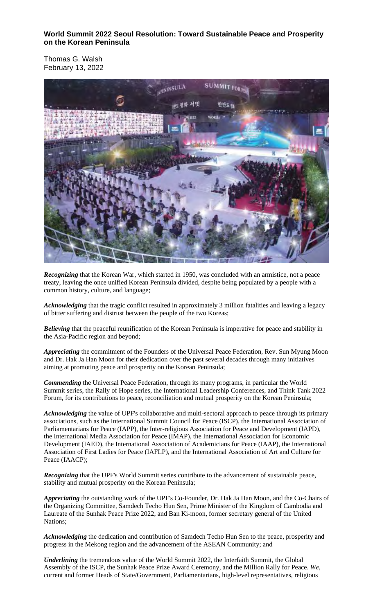**World Summit 2022 Seoul Resolution: Toward Sustainable Peace and Prosperity on the Korean Peninsula**

Thomas G. Walsh February 13, 2022



*Recognizing* that the Korean War, which started in 1950, was concluded with an armistice, not a peace treaty, leaving the once unified Korean Peninsula divided, despite being populated by a people with a common history, culture, and language;

*Acknowledging* that the tragic conflict resulted in approximately 3 million fatalities and leaving a legacy of bitter suffering and distrust between the people of the two Koreas;

*Believing* that the peaceful reunification of the Korean Peninsula is imperative for peace and stability in the Asia-Pacific region and beyond;

*Appreciating* the commitment of the Founders of the Universal Peace Federation, Rev. Sun Myung Moon and Dr. Hak Ja Han Moon for their dedication over the past several decades through many initiatives aiming at promoting peace and prosperity on the Korean Peninsula;

*Commending* the Universal Peace Federation, through its many programs, in particular the World Summit series, the Rally of Hope series, the International Leadership Conferences, and Think Tank 2022 Forum, for its contributions to peace, reconciliation and mutual prosperity on the Korean Peninsula;

*Acknowledging* the value of UPF's collaborative and multi-sectoral approach to peace through its primary associations, such as the International Summit Council for Peace (ISCP), the International Association of Parliamentarians for Peace (IAPP), the Inter-religious Association for Peace and Development (IAPD), the International Media Association for Peace (IMAP), the International Association for Economic Development (IAED), the International Association of Academicians for Peace (IAAP), the International Association of First Ladies for Peace (IAFLP), and the International Association of Art and Culture for Peace (IAACP);

*Recognizing* that the UPF's World Summit series contribute to the advancement of sustainable peace, stability and mutual prosperity on the Korean Peninsula;

*Appreciating* the outstanding work of the UPF's Co-Founder, Dr. Hak Ja Han Moon, and the Co-Chairs of the Organizing Committee, Samdech Techo Hun Sen, Prime Minister of the Kingdom of Cambodia and Laureate of the Sunhak Peace Prize 2022, and Ban Ki-moon, former secretary general of the United Nations;

*Acknowledging* the dedication and contribution of Samdech Techo Hun Sen to the peace, prosperity and progress in the Mekong region and the advancement of the ASEAN Community; and

*Underlining* the tremendous value of the World Summit 2022, the Interfaith Summit, the Global Assembly of the ISCP, the Sunhak Peace Prize Award Ceremony, and the Million Rally for Peace. *We*, current and former Heads of State/Government, Parliamentarians, high-level representatives, religious